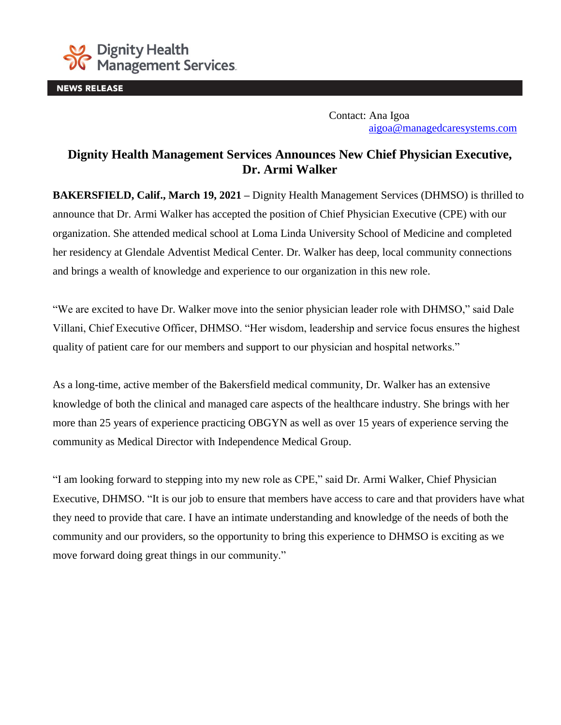

**NEWS RELEASE** 

Contact: Ana Igoa [aigoa@managedcaresystems.com](mailto:aigoa@managedcaresystems.com)

## **Dignity Health Management Services Announces New Chief Physician Executive, Dr. Armi Walker**

**BAKERSFIELD, Calif., March 19, 2021 –** Dignity Health Management Services (DHMSO) is thrilled to announce that Dr. Armi Walker has accepted the position of Chief Physician Executive (CPE) with our organization. She attended medical school at Loma Linda University School of Medicine and completed her residency at Glendale Adventist Medical Center. Dr. Walker has deep, local community connections and brings a wealth of knowledge and experience to our organization in this new role.

"We are excited to have Dr. Walker move into the senior physician leader role with DHMSO," said Dale Villani, Chief Executive Officer, DHMSO. "Her wisdom, leadership and service focus ensures the highest quality of patient care for our members and support to our physician and hospital networks."

As a long-time, active member of the Bakersfield medical community, Dr. Walker has an extensive knowledge of both the clinical and managed care aspects of the healthcare industry. She brings with her more than 25 years of experience practicing OBGYN as well as over 15 years of experience serving the community as Medical Director with Independence Medical Group.

"I am looking forward to stepping into my new role as CPE," said Dr. Armi Walker, Chief Physician Executive, DHMSO. "It is our job to ensure that members have access to care and that providers have what they need to provide that care. I have an intimate understanding and knowledge of the needs of both the community and our providers, so the opportunity to bring this experience to DHMSO is exciting as we move forward doing great things in our community."